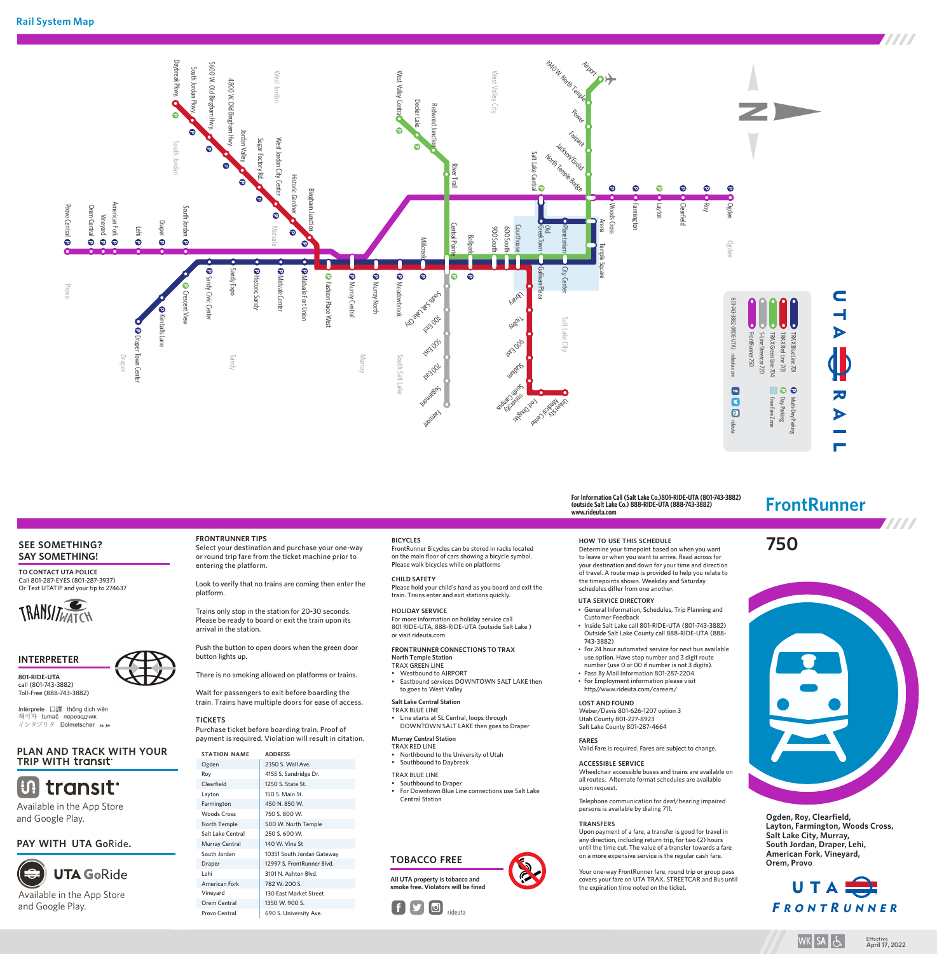

# **SEE SOMETHING? SAY SOMETHING!**

**TO CONTACT UTA POLICE** Call 801-287-EYES (801-287-3937) Or Text UTATIP and your tip to 274637







call (801-743-3882) Toll-Free (888-743-3882)

Intérprete 口譯 thông dịch viên<br>해석자 tumač переводчик インタプリタ Dolmetscher メル

# **PLAN AND TRACK WITH YOUR TRIP WITH transit**



Available in the App Store and Google Play.

# **PAY WITH UTA Go**Ride**.**



and Google Play.

## **FRONTRUNNER TIPS** Select your destination and purchase your one-way or round trip fare from the ticket machine prior to entering the platform.

Look to verify that no trains are coming then enter the platform.

Trains only stop in the station for 20-30 seconds. Please be ready to board or exit the train upon its arrival in the station.

Push the button to open doors when the green door button lights up.

There is no smoking allowed on platforms or trains.

Wait for passengers to exit before boarding the train. Trains have multiple doors for ease of access.

### **TICKETS** Purchase ticket before boarding train. Proof of payment is required. Violation will result in citation.

| <b>STATION NAME</b>  | <b>ADDRESS</b>             |
|----------------------|----------------------------|
| Ogden                | 2350 S. Wall Ave.          |
| Roy                  | 4155 S. Sandridge Dr.      |
| Clearfield           | 1250 S. State St.          |
| Layton               | 150 S. Main St.            |
| Farmington           | 450 N. 850 W.              |
| <b>Woods Cross</b>   | 750 S. 800 W.              |
| North Temple         | 500 W. North Temple        |
| Salt Lake Central    | 250 S. 600 W.              |
| Murray Central       | 140 W. Vine St             |
| South Jordan         | 10351 South Jordan Gateway |
| Draper               | 12997 S. FrontRunner Blvd. |
| l ehi                | 3101 N. Ashton Blvd.       |
| <b>American Fork</b> | 782 W. 200 S.              |
| Vineyard             | 130 East Market Street     |
| Orem Central         | 1350 W. 900 S.             |
| Provo Central        | 690 S. University Ave.     |

# **BICYCLES**

FrontRunner Bicycles can be stored in racks located on the main floor of cars showing a bicycle symbol. Please walk bicycles while on platforms

**CHILD SAFETY** Please hold your child's hand as you board and exit the train. Trains enter and exit stations quickly.

**HOLIDAY SERVICE** For more information on holiday service call 801 RIDE-UTA, 888-RIDE-UTA (outside Salt Lake ) or visit rideuta.com

### **FRONTRUNNER CONNECTIONS TO TRAX North Temple Station**

TRAX GREEN LINE • Westbound to AIRPORT

- Eastbound services DOWNTOWN SALT LAKE then to goes to West Valley
- **Salt Lake Central Station** TRAX BLUE LINE
- Line starts at SL Central, loops through DOWNTOWN SALT LAKE then goes to Draper

#### **Murray Central Station** TRAX RED LINE

- Northbound to the University of Utah
- Southbound to Daybreak
- TRAX BLUE LINE • Southbound to Draper
- For Downtown Blue Line connections use Salt Lake Central Station

# **TOBACCO FREE**

**All UTA property is tobacco and smoke free. Violators will be fined** 



# **For Information Call (Salt Lake Co.)801-RIDE-UTA (801-743-3882) (outside Salt Lake Co.) 888-RIDE-UTA (888-743-3882) www.rideuta.com**

# **HOW TO USE THIS SCHEDULE**

Determine your timepoint based on when you want to leave or when you want to arrive. Read across for your destination and down for your time and direction of travel. A route map is provided to help you relate to the timepoints shown. Weekday and Saturday schedules differ from one another.

# **UTA SERVICE DIRECTORY**

- General Information, Schedules, Trip Planning and Customer Feedback • Inside Salt Lake call 801-RIDE-UTA (801-743-3882) Outside Salt Lake County call 888-RIDE-UTA (888-
- 743-3882) • For 24 hour automated service for next bus available
- use option. Have stop number and 3 digit route number (use 0 or 00 if number is not 3 digits).
- Pass By Mail Information 801-287-2204 • For Employment information please visit http//www.rideuta.com/careers/

#### **LOST AND FOUND** Weber/Davis 801-626-1207 option 3

Utah County 801-227-8923 Salt Lake County 801-287-4664 **FARES**

Valid Fare is required. Fares are subject to change.

**ACCESSIBLE SERVICE** Wheelchair accessible buses and trains are available on all routes. Alternate format schedules are available upon request.

Telephone communication for deaf/hearing impaired persons is available by dialing 711.

# **TRANSFERS**

Upon payment of a fare, a transfer is good for travel in any direction, including return trip, for two (2) hours until the time cut. The value of a transfer towards a fare on a more expensive service is the regular cash fare.

Your one-way FrontRunner fare, round trip or group pass covers your fare on UTA TRAX, STREETCAR and Bus until the expiration time noted on the ticket.

**FrontRunner**

**750**

**Ogden, Roy, Clearfield, Layton, Farmington, Woods Cross, Salt Lake City, Murray, South Jordan, Draper, Lehi, American Fork, Vineyard, Orem, Provo**